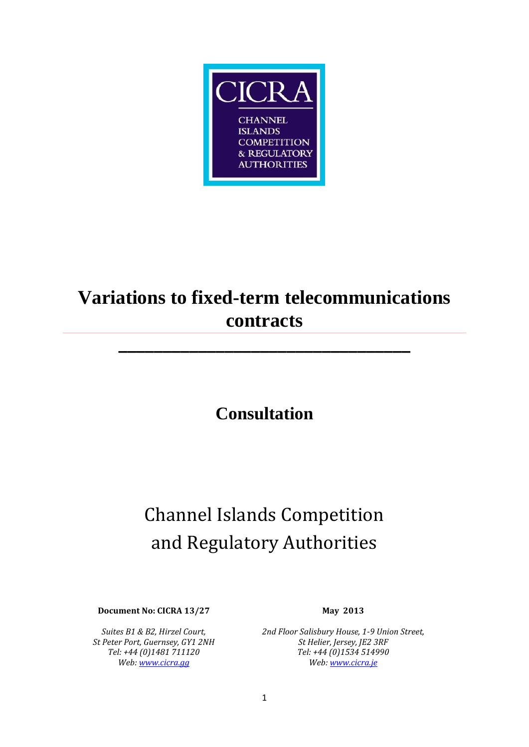

# **Variations to fixed-term telecommunications contracts**

**\_\_\_\_\_\_\_\_\_\_\_\_\_\_\_\_\_\_\_\_\_\_\_\_\_\_\_\_\_\_\_\_\_**

# **Consultation**

# Channel Islands Competition and Regulatory Authorities

**Document No: CICRA 13/27 May 2013**

*Suites B1 & B2, Hirzel Court, St Peter Port, Guernsey, GY1 2NH Tel: +44 (0)1481 711120 Web[: www.cicra.gg](http://www.cicra.gg/)*

*2nd Floor Salisbury House, 1-9 Union Street, St Helier, Jersey, JE2 3RF Tel: +44 (0)1534 514990 Web[: www.cicra.je](http://www.cicra.je/)*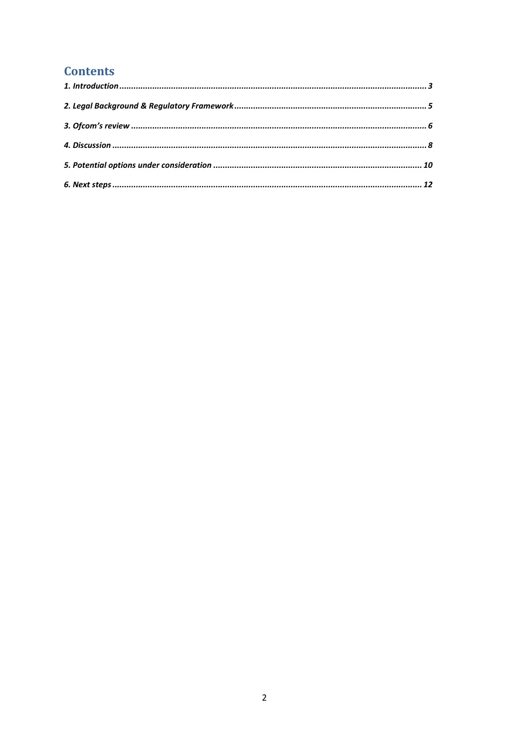# **Contents**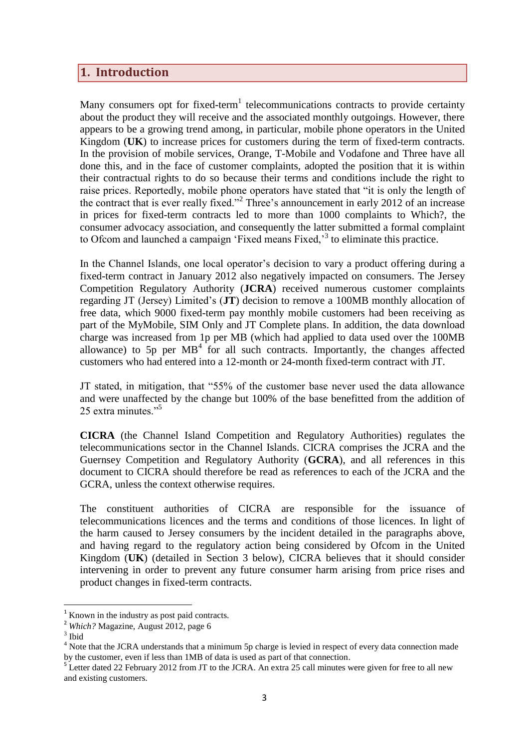### <span id="page-2-0"></span>**1. Introduction**

Many consumers opt for fixed-term<sup>1</sup> telecommunications contracts to provide certainty about the product they will receive and the associated monthly outgoings. However, there appears to be a growing trend among, in particular, mobile phone operators in the United Kingdom (**UK**) to increase prices for customers during the term of fixed-term contracts. In the provision of mobile services, Orange, T-Mobile and Vodafone and Three have all done this, and in the face of customer complaints, adopted the position that it is within their contractual rights to do so because their terms and conditions include the right to raise prices. Reportedly, mobile phone operators have stated that "it is only the length of the contract that is ever really fixed."<sup>2</sup> Three's announcement in early 2012 of an increase in prices for fixed-term contracts led to more than 1000 complaints to Which?, the consumer advocacy association, and consequently the latter submitted a formal complaint to Ofcom and launched a campaign 'Fixed means Fixed,<sup>3</sup> to eliminate this practice.

In the Channel Islands, one local operator's decision to vary a product offering during a fixed-term contract in January 2012 also negatively impacted on consumers. The Jersey Competition Regulatory Authority (**JCRA**) received numerous customer complaints regarding JT (Jersey) Limited's (**JT**) decision to remove a 100MB monthly allocation of free data, which 9000 fixed-term pay monthly mobile customers had been receiving as part of the MyMobile, SIM Only and JT Complete plans. In addition, the data download charge was increased from 1p per MB (which had applied to data used over the 100MB allowance) to  $5p$  per  $MB<sup>4</sup>$  for all such contracts. Importantly, the changes affected customers who had entered into a 12-month or 24-month fixed-term contract with JT.

JT stated, in mitigation, that "55% of the customer base never used the data allowance and were unaffected by the change but 100% of the base benefitted from the addition of 25 extra minutes."<sup>5</sup>

**CICRA** (the Channel Island Competition and Regulatory Authorities) regulates the telecommunications sector in the Channel Islands. CICRA comprises the JCRA and the Guernsey Competition and Regulatory Authority (**GCRA**), and all references in this document to CICRA should therefore be read as references to each of the JCRA and the GCRA, unless the context otherwise requires.

The constituent authorities of CICRA are responsible for the issuance of telecommunications licences and the terms and conditions of those licences. In light of the harm caused to Jersey consumers by the incident detailed in the paragraphs above, and having regard to the regulatory action being considered by Ofcom in the United Kingdom (**UK**) (detailed in Section 3 below), CICRA believes that it should consider intervening in order to prevent any future consumer harm arising from price rises and product changes in fixed-term contracts.

**.** 

 $<sup>1</sup>$  Known in the industry as post paid contracts.</sup>

<sup>&</sup>lt;sup>2</sup> *Which?* Magazine, August 2012, page 6

<sup>3</sup> Ibid

<sup>&</sup>lt;sup>4</sup> Note that the JCRA understands that a minimum 5p charge is levied in respect of every data connection made by the customer, even if less than 1MB of data is used as part of that connection.

<sup>&</sup>lt;sup>5</sup> Letter dated 22 February 2012 from JT to the JCRA. An extra 25 call minutes were given for free to all new and existing customers.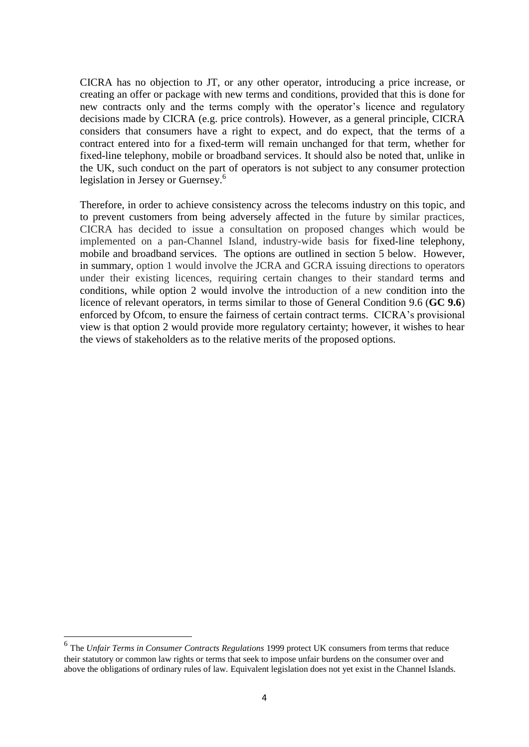CICRA has no objection to JT, or any other operator, introducing a price increase, or creating an offer or package with new terms and conditions, provided that this is done for new contracts only and the terms comply with the operator's licence and regulatory decisions made by CICRA (e.g. price controls). However, as a general principle, CICRA considers that consumers have a right to expect, and do expect, that the terms of a contract entered into for a fixed-term will remain unchanged for that term, whether for fixed-line telephony, mobile or broadband services. It should also be noted that, unlike in the UK, such conduct on the part of operators is not subject to any consumer protection legislation in Jersey or Guernsey.<sup>6</sup>

Therefore, in order to achieve consistency across the telecoms industry on this topic, and to prevent customers from being adversely affected in the future by similar practices, CICRA has decided to issue a consultation on proposed changes which would be implemented on a pan-Channel Island, industry-wide basis for fixed-line telephony, mobile and broadband services. The options are outlined in section 5 below. However, in summary, option 1 would involve the JCRA and GCRA issuing directions to operators under their existing licences, requiring certain changes to their standard terms and conditions, while option 2 would involve the introduction of a new condition into the licence of relevant operators, in terms similar to those of General Condition 9.6 (**GC 9.6**) enforced by Ofcom, to ensure the fairness of certain contract terms. CICRA's provisional view is that option 2 would provide more regulatory certainty; however, it wishes to hear the views of stakeholders as to the relative merits of the proposed options.

 $\overline{a}$ 

<sup>6</sup> The *Unfair Terms in Consumer Contracts Regulations* 1999 protect UK consumers from terms that reduce their statutory or common law rights or terms that seek to impose unfair burdens on the consumer over and above the obligations of ordinary rules of law. Equivalent legislation does not yet exist in the Channel Islands.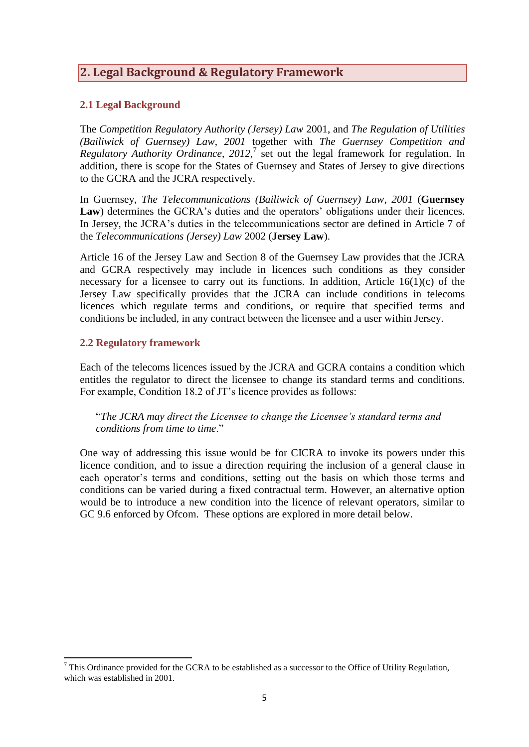# <span id="page-4-0"></span>**2. Legal Background & Regulatory Framework**

#### **2.1 Legal Background**

The *Competition Regulatory Authority (Jersey) Law* 2001, and *The Regulation of Utilities (Bailiwick of Guernsey) Law, 2001* together with *The Guernsey Competition and Regulatory Authority Ordinance, 2012*, 7 set out the legal framework for regulation. In addition, there is scope for the States of Guernsey and States of Jersey to give directions to the GCRA and the JCRA respectively.

In Guernsey, *The Telecommunications (Bailiwick of Guernsey) Law, 2001* (**Guernsey Law**) determines the GCRA's duties and the operators' obligations under their licences. In Jersey, the JCRA's duties in the telecommunications sector are defined in Article 7 of the *Telecommunications (Jersey) Law* 2002 (**Jersey Law**).

Article 16 of the Jersey Law and Section 8 of the Guernsey Law provides that the JCRA and GCRA respectively may include in licences such conditions as they consider necessary for a licensee to carry out its functions. In addition, Article  $16(1)(c)$  of the Jersey Law specifically provides that the JCRA can include conditions in telecoms licences which regulate terms and conditions, or require that specified terms and conditions be included, in any contract between the licensee and a user within Jersey.

#### **2.2 Regulatory framework**

Each of the telecoms licences issued by the JCRA and GCRA contains a condition which entitles the regulator to direct the licensee to change its standard terms and conditions. For example, Condition 18.2 of JT's licence provides as follows:

"*The JCRA may direct the Licensee to change the Licensee's standard terms and conditions from time to time*."

One way of addressing this issue would be for CICRA to invoke its powers under this licence condition, and to issue a direction requiring the inclusion of a general clause in each operator's terms and conditions, setting out the basis on which those terms and conditions can be varied during a fixed contractual term. However, an alternative option would be to introduce a new condition into the licence of relevant operators, similar to GC 9.6 enforced by Ofcom. These options are explored in more detail below.

**<sup>.</sup>**  $7$  This Ordinance provided for the GCRA to be established as a successor to the Office of Utility Regulation, which was established in 2001.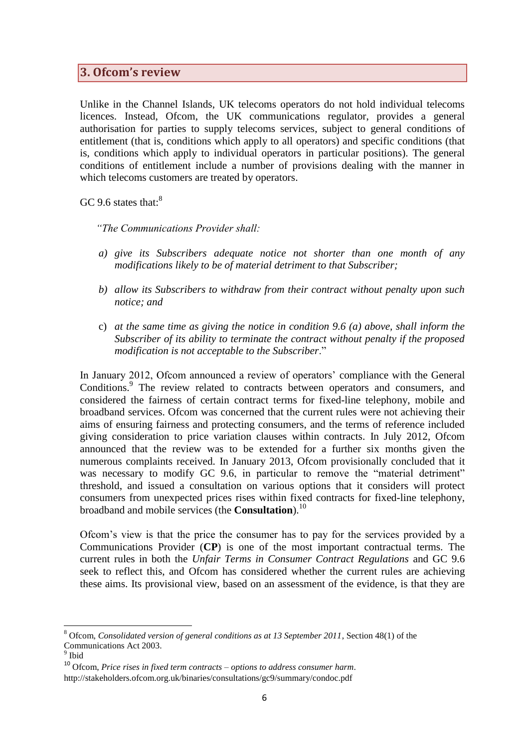### <span id="page-5-0"></span>**3. Ofcom's review**

Unlike in the Channel Islands, UK telecoms operators do not hold individual telecoms licences. Instead, Ofcom, the UK communications regulator, provides a general authorisation for parties to supply telecoms services, subject to general conditions of entitlement (that is, conditions which apply to all operators) and specific conditions (that is, conditions which apply to individual operators in particular positions). The general conditions of entitlement include a number of provisions dealing with the manner in which telecoms customers are treated by operators.

GC 9.6 states that:<sup>8</sup>

*"The Communications Provider shall:*

- *a) give its Subscribers adequate notice not shorter than one month of any modifications likely to be of material detriment to that Subscriber;*
- *b) allow its Subscribers to withdraw from their contract without penalty upon such notice; and*
- c) *at the same time as giving the notice in condition 9.6 (a) above, shall inform the Subscriber of its ability to terminate the contract without penalty if the proposed modification is not acceptable to the Subscriber*."

In January 2012, Ofcom announced a review of operators' compliance with the General Conditions. 9 The review related to contracts between operators and consumers, and considered the fairness of certain contract terms for fixed-line telephony, mobile and broadband services. Ofcom was concerned that the current rules were not achieving their aims of ensuring fairness and protecting consumers, and the terms of reference included giving consideration to price variation clauses within contracts. In July 2012, Ofcom announced that the review was to be extended for a further six months given the numerous complaints received. In January 2013, Ofcom provisionally concluded that it was necessary to modify GC 9.6, in particular to remove the "material detriment" threshold, and issued a consultation on various options that it considers will protect consumers from unexpected prices rises within fixed contracts for fixed-line telephony, broadband and mobile services (the **Consultation**).<sup>10</sup>

Ofcom's view is that the price the consumer has to pay for the services provided by a Communications Provider (**CP**) is one of the most important contractual terms. The current rules in both the *Unfair Terms in Consumer Contract Regulations* and GC 9.6 seek to reflect this, and Ofcom has considered whether the current rules are achieving these aims. Its provisional view, based on an assessment of the evidence, is that they are

**.** 

<sup>8</sup> Ofcom, *Consolidated version of general conditions as at 13 September 2011*, Section 48(1) of the Communications Act 2003. 9 Ibid

<sup>10</sup> Ofcom, *Price rises in fixed term contracts – options to address consumer harm*. http://stakeholders.ofcom.org.uk/binaries/consultations/gc9/summary/condoc.pdf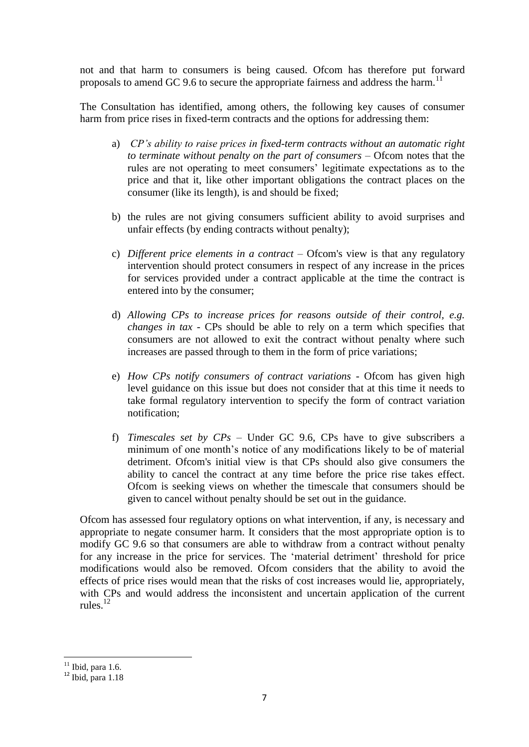not and that harm to consumers is being caused. Ofcom has therefore put forward proposals to amend GC 9.6 to secure the appropriate fairness and address the harm.<sup>11</sup>

The Consultation has identified, among others, the following key causes of consumer harm from price rises in fixed-term contracts and the options for addressing them:

- a) *CP's ability to raise prices in fixed-term contracts without an automatic right to terminate without penalty on the part of consumers* – Ofcom notes that the rules are not operating to meet consumers' legitimate expectations as to the price and that it, like other important obligations the contract places on the consumer (like its length), is and should be fixed;
- b) the rules are not giving consumers sufficient ability to avoid surprises and unfair effects (by ending contracts without penalty);
- c) *Different price elements in a contract*  Ofcom's view is that any regulatory intervention should protect consumers in respect of any increase in the prices for services provided under a contract applicable at the time the contract is entered into by the consumer;
- d) *Allowing CPs to increase prices for reasons outside of their control, e.g. changes in tax -* CPs should be able to rely on a term which specifies that consumers are not allowed to exit the contract without penalty where such increases are passed through to them in the form of price variations;
- e) *How CPs notify consumers of contract variations -* Ofcom has given high level guidance on this issue but does not consider that at this time it needs to take formal regulatory intervention to specify the form of contract variation notification;
- f) *Timescales set by CPs –* Under GC 9.6, CPs have to give subscribers a minimum of one month's notice of any modifications likely to be of material detriment. Ofcom's initial view is that CPs should also give consumers the ability to cancel the contract at any time before the price rise takes effect. Ofcom is seeking views on whether the timescale that consumers should be given to cancel without penalty should be set out in the guidance.

Ofcom has assessed four regulatory options on what intervention, if any, is necessary and appropriate to negate consumer harm. It considers that the most appropriate option is to modify GC 9.6 so that consumers are able to withdraw from a contract without penalty for any increase in the price for services. The 'material detriment' threshold for price modifications would also be removed. Ofcom considers that the ability to avoid the effects of price rises would mean that the risks of cost increases would lie, appropriately, with CPs and would address the inconsistent and uncertain application of the current rules $12$ 

**<sup>.</sup>**  $11$  Ibid, para 1.6.

 $12$  Ibid, para 1.18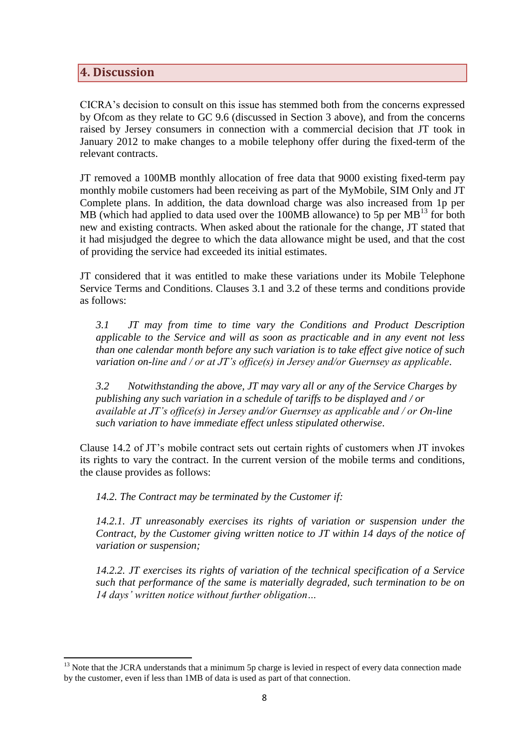# <span id="page-7-0"></span>**4. Discussion**

CICRA's decision to consult on this issue has stemmed both from the concerns expressed by Ofcom as they relate to GC 9.6 (discussed in Section 3 above), and from the concerns raised by Jersey consumers in connection with a commercial decision that JT took in January 2012 to make changes to a mobile telephony offer during the fixed-term of the relevant contracts.

JT removed a 100MB monthly allocation of free data that 9000 existing fixed-term pay monthly mobile customers had been receiving as part of the MyMobile, SIM Only and JT Complete plans. In addition, the data download charge was also increased from 1p per MB (which had applied to data used over the  $100MB$  allowance) to 5p per  $MB<sup>13</sup>$  for both new and existing contracts. When asked about the rationale for the change, JT stated that it had misjudged the degree to which the data allowance might be used, and that the cost of providing the service had exceeded its initial estimates.

JT considered that it was entitled to make these variations under its Mobile Telephone Service Terms and Conditions. Clauses 3.1 and 3.2 of these terms and conditions provide as follows:

*3.1 JT may from time to time vary the Conditions and Product Description applicable to the Service and will as soon as practicable and in any event not less than one calendar month before any such variation is to take effect give notice of such variation on-line and / or at JT's office(s) in Jersey and/or Guernsey as applicable*.

*3.2 Notwithstanding the above, JT may vary all or any of the Service Charges by publishing any such variation in a schedule of tariffs to be displayed and / or available at JT's office(s) in Jersey and/or Guernsey as applicable and / or On-line such variation to have immediate effect unless stipulated otherwise*.

Clause 14.2 of JT's mobile contract sets out certain rights of customers when JT invokes its rights to vary the contract. In the current version of the mobile terms and conditions, the clause provides as follows:

*14.2. The Contract may be terminated by the Customer if:*

*14.2.1. JT unreasonably exercises its rights of variation or suspension under the Contract, by the Customer giving written notice to JT within 14 days of the notice of variation or suspension;*

*14.2.2. JT exercises its rights of variation of the technical specification of a Service such that performance of the same is materially degraded, such termination to be on 14 days' written notice without further obligation…*

**<sup>.</sup>**  $13$  Note that the JCRA understands that a minimum 5p charge is levied in respect of every data connection made by the customer, even if less than 1MB of data is used as part of that connection.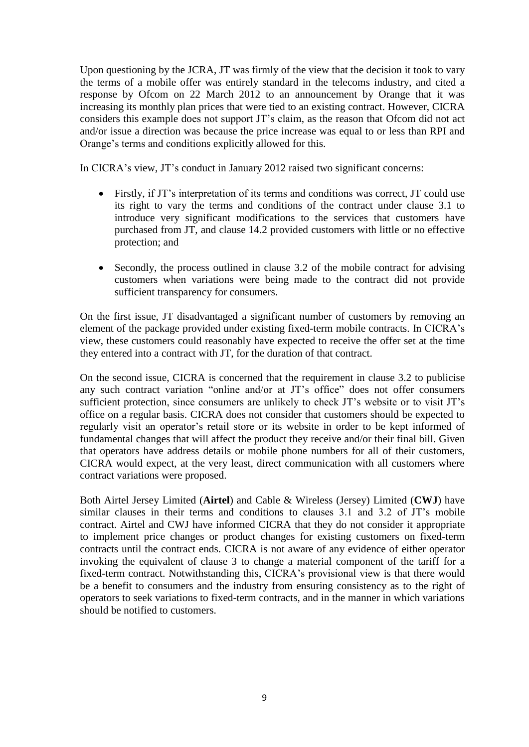Upon questioning by the JCRA, JT was firmly of the view that the decision it took to vary the terms of a mobile offer was entirely standard in the telecoms industry, and cited a response by Ofcom on 22 March 2012 to an announcement by Orange that it was increasing its monthly plan prices that were tied to an existing contract. However, CICRA considers this example does not support JT's claim, as the reason that Ofcom did not act and/or issue a direction was because the price increase was equal to or less than RPI and Orange's terms and conditions explicitly allowed for this.

In CICRA's view, JT's conduct in January 2012 raised two significant concerns:

- Firstly, if JT's interpretation of its terms and conditions was correct, JT could use its right to vary the terms and conditions of the contract under clause 3.1 to introduce very significant modifications to the services that customers have purchased from JT, and clause 14.2 provided customers with little or no effective protection; and
- Secondly, the process outlined in clause 3.2 of the mobile contract for advising customers when variations were being made to the contract did not provide sufficient transparency for consumers.

On the first issue, JT disadvantaged a significant number of customers by removing an element of the package provided under existing fixed-term mobile contracts. In CICRA's view, these customers could reasonably have expected to receive the offer set at the time they entered into a contract with JT, for the duration of that contract.

On the second issue, CICRA is concerned that the requirement in clause 3.2 to publicise any such contract variation "online and/or at JT's office" does not offer consumers sufficient protection, since consumers are unlikely to check JT's website or to visit JT's office on a regular basis. CICRA does not consider that customers should be expected to regularly visit an operator's retail store or its website in order to be kept informed of fundamental changes that will affect the product they receive and/or their final bill. Given that operators have address details or mobile phone numbers for all of their customers, CICRA would expect, at the very least, direct communication with all customers where contract variations were proposed.

Both Airtel Jersey Limited (**Airtel**) and Cable & Wireless (Jersey) Limited (**CWJ**) have similar clauses in their terms and conditions to clauses 3.1 and 3.2 of JT's mobile contract. Airtel and CWJ have informed CICRA that they do not consider it appropriate to implement price changes or product changes for existing customers on fixed-term contracts until the contract ends. CICRA is not aware of any evidence of either operator invoking the equivalent of clause 3 to change a material component of the tariff for a fixed-term contract. Notwithstanding this, CICRA's provisional view is that there would be a benefit to consumers and the industry from ensuring consistency as to the right of operators to seek variations to fixed-term contracts, and in the manner in which variations should be notified to customers.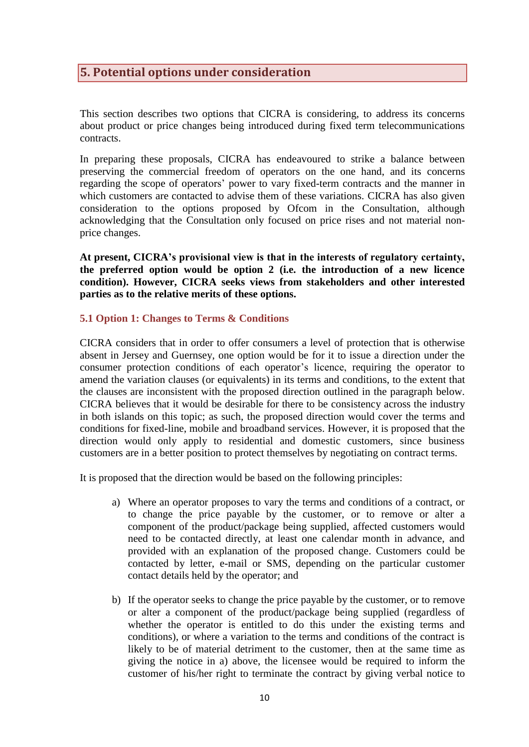# <span id="page-9-0"></span>**5. Potential options under consideration**

This section describes two options that CICRA is considering, to address its concerns about product or price changes being introduced during fixed term telecommunications contracts.

In preparing these proposals, CICRA has endeavoured to strike a balance between preserving the commercial freedom of operators on the one hand, and its concerns regarding the scope of operators' power to vary fixed-term contracts and the manner in which customers are contacted to advise them of these variations. CICRA has also given consideration to the options proposed by Ofcom in the Consultation, although acknowledging that the Consultation only focused on price rises and not material nonprice changes.

**At present, CICRA's provisional view is that in the interests of regulatory certainty, the preferred option would be option 2 (i.e. the introduction of a new licence condition). However, CICRA seeks views from stakeholders and other interested parties as to the relative merits of these options.**

#### **5.1 Option 1: Changes to Terms & Conditions**

CICRA considers that in order to offer consumers a level of protection that is otherwise absent in Jersey and Guernsey, one option would be for it to issue a direction under the consumer protection conditions of each operator's licence, requiring the operator to amend the variation clauses (or equivalents) in its terms and conditions, to the extent that the clauses are inconsistent with the proposed direction outlined in the paragraph below. CICRA believes that it would be desirable for there to be consistency across the industry in both islands on this topic; as such, the proposed direction would cover the terms and conditions for fixed-line, mobile and broadband services. However, it is proposed that the direction would only apply to residential and domestic customers, since business customers are in a better position to protect themselves by negotiating on contract terms.

It is proposed that the direction would be based on the following principles:

- a) Where an operator proposes to vary the terms and conditions of a contract, or to change the price payable by the customer, or to remove or alter a component of the product/package being supplied, affected customers would need to be contacted directly, at least one calendar month in advance, and provided with an explanation of the proposed change. Customers could be contacted by letter, e-mail or SMS, depending on the particular customer contact details held by the operator; and
- b) If the operator seeks to change the price payable by the customer, or to remove or alter a component of the product/package being supplied (regardless of whether the operator is entitled to do this under the existing terms and conditions), or where a variation to the terms and conditions of the contract is likely to be of material detriment to the customer, then at the same time as giving the notice in a) above, the licensee would be required to inform the customer of his/her right to terminate the contract by giving verbal notice to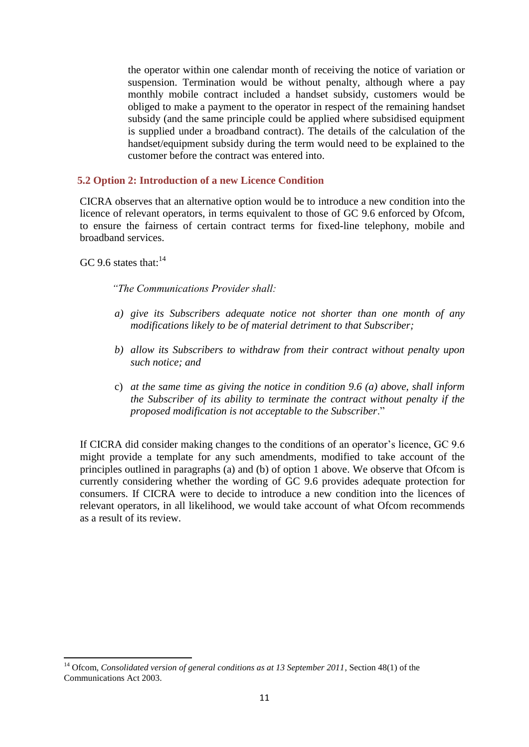the operator within one calendar month of receiving the notice of variation or suspension. Termination would be without penalty, although where a pay monthly mobile contract included a handset subsidy, customers would be obliged to make a payment to the operator in respect of the remaining handset subsidy (and the same principle could be applied where subsidised equipment is supplied under a broadband contract). The details of the calculation of the handset/equipment subsidy during the term would need to be explained to the customer before the contract was entered into.

#### **5.2 Option 2: Introduction of a new Licence Condition**

CICRA observes that an alternative option would be to introduce a new condition into the licence of relevant operators, in terms equivalent to those of GC 9.6 enforced by Ofcom, to ensure the fairness of certain contract terms for fixed-line telephony, mobile and broadband services.

GC 9.6 states that:<sup>14</sup>

**.** 

*"The Communications Provider shall:*

- *a) give its Subscribers adequate notice not shorter than one month of any modifications likely to be of material detriment to that Subscriber;*
- *b) allow its Subscribers to withdraw from their contract without penalty upon such notice; and*
- c) *at the same time as giving the notice in condition 9.6 (a) above, shall inform the Subscriber of its ability to terminate the contract without penalty if the proposed modification is not acceptable to the Subscriber*."

If CICRA did consider making changes to the conditions of an operator's licence, GC 9.6 might provide a template for any such amendments, modified to take account of the principles outlined in paragraphs (a) and (b) of option 1 above. We observe that Ofcom is currently considering whether the wording of GC 9.6 provides adequate protection for consumers. If CICRA were to decide to introduce a new condition into the licences of relevant operators, in all likelihood, we would take account of what Ofcom recommends as a result of its review.

<sup>&</sup>lt;sup>14</sup> Ofcom, *Consolidated version of general conditions as at 13 September 2011*, Section 48(1) of the Communications Act 2003.